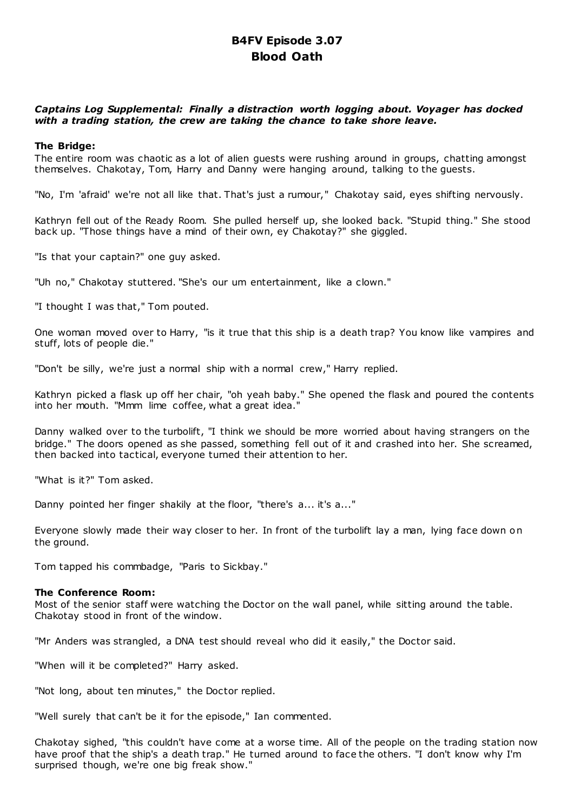# **B4FV Episode 3.07 Blood Oath**

## *Captains Log Supplemental: Finally a distraction worth logging about. Voyager has docked with a trading station, the crew are taking the chance to take shore leave.*

## **The Bridge:**

The entire room was chaotic as a lot of alien guests were rushing around in groups, chatting amongst themselves. Chakotay, Tom, Harry and Danny were hanging around, talking to the guests.

"No, I'm 'afraid' we're not all like that. That's just a rumour," Chakotay said, eyes shifting nervously.

Kathryn fell out of the Ready Room. She pulled herself up, she looked back. "Stupid thing." She stood back up. "Those things have a mind of their own, ey Chakotay?" she giggled.

"Is that your captain?" one guy asked.

"Uh no," Chakotay stuttered. "She's our um entertainment, like a clown."

"I thought I was that," Tom pouted.

One woman moved over to Harry, "is it true that this ship is a death trap? You know like vampires and stuff, lots of people die."

"Don't be silly, we're just a normal ship with a normal crew," Harry replied.

Kathryn picked a flask up off her chair, "oh yeah baby." She opened the flask and poured the contents into her mouth. "Mmm lime coffee, what a great idea."

Danny walked over to the turbolift, "I think we should be more worried about having strangers on the bridge." The doors opened as she passed, something fell out of it and crashed into her. She screamed, then backed into tactical, everyone turned their attention to her.

"What is it?" Tom asked.

Danny pointed her finger shakily at the floor, "there's a... it's a..."

Everyone slowly made their way closer to her. In front of the turbolift lay a man, lying face down on the ground.

Tom tapped his commbadge, "Paris to Sickbay."

## **The Conference Room:**

Most of the senior staff were watching the Doctor on the wall panel, while sitting around the table. Chakotay stood in front of the window.

"Mr Anders was strangled, a DNA test should reveal who did it easily," the Doctor said.

"When will it be completed?" Harry asked.

"Not long, about ten minutes," the Doctor replied.

"Well surely that can't be it for the episode," Ian commented.

Chakotay sighed, "this couldn't have come at a worse time. All of the people on the trading station now have proof that the ship's a death trap." He turned around to face the others. "I don't know why I'm surprised though, we're one big freak show."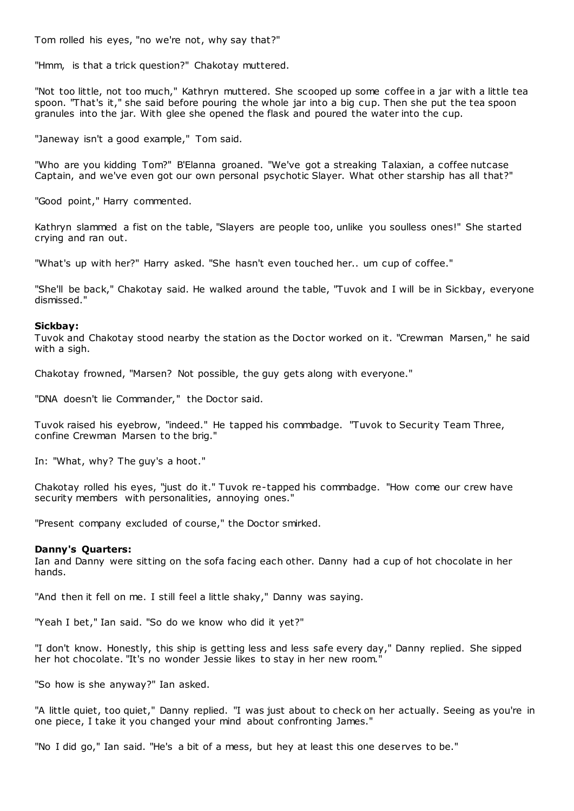Tom rolled his eyes, "no we're not, why say that?"

"Hmm, is that a trick question?" Chakotay muttered.

"Not too little, not too much," Kathryn muttered. She scooped up some coffee in a jar with a little tea spoon. "That's it," she said before pouring the whole jar into a big cup. Then she put the tea spoon granules into the jar. With glee she opened the flask and poured the water into the cup.

"Janeway isn't a good example," Tom said.

"Who are you kidding Tom?" B'Elanna groaned. "We've got a streaking Talaxian, a coffee nutcase Captain, and we've even got our own personal psychotic Slayer. What other starship has all that?"

"Good point," Harry commented.

Kathryn slammed a fist on the table, "Slayers are people too, unlike you soulless ones!" She started crying and ran out.

"What's up with her?" Harry asked. "She hasn't even touched her.. um cup of coffee."

"She'll be back," Chakotay said. He walked around the table, "Tuvok and I will be in Sickbay, everyone dismissed."

## **Sickbay:**

Tuvok and Chakotay stood nearby the station as the Doctor worked on it. "Crewman Marsen," he said with a sigh.

Chakotay frowned, "Marsen? Not possible, the guy gets along with everyone."

"DNA doesn't lie Commander," the Doctor said.

Tuvok raised his eyebrow, "indeed." He tapped his commbadge. "Tuvok to Security Team Three, confine Crewman Marsen to the brig."

In: "What, why? The guy's a hoot."

Chakotay rolled his eyes, "just do it." Tuvok re-tapped his commbadge. "How come our crew have security members with personalities, annoying ones."

"Present company excluded of course," the Doctor smirked.

#### **Danny's Quarters:**

Ian and Danny were sitting on the sofa facing each other. Danny had a cup of hot chocolate in her hands.

"And then it fell on me. I still feel a little shaky," Danny was saying.

"Yeah I bet," Ian said. "So do we know who did it yet?"

"I don't know. Honestly, this ship is getting less and less safe every day," Danny replied. She sipped her hot chocolate. "It's no wonder Jessie likes to stay in her new room."

"So how is she anyway?" Ian asked.

"A little quiet, too quiet," Danny replied. "I was just about to check on her actually. Seeing as you're in one piece, I take it you changed your mind about confronting James."

"No I did go," Ian said. "He's a bit of a mess, but hey at least this one deserves to be."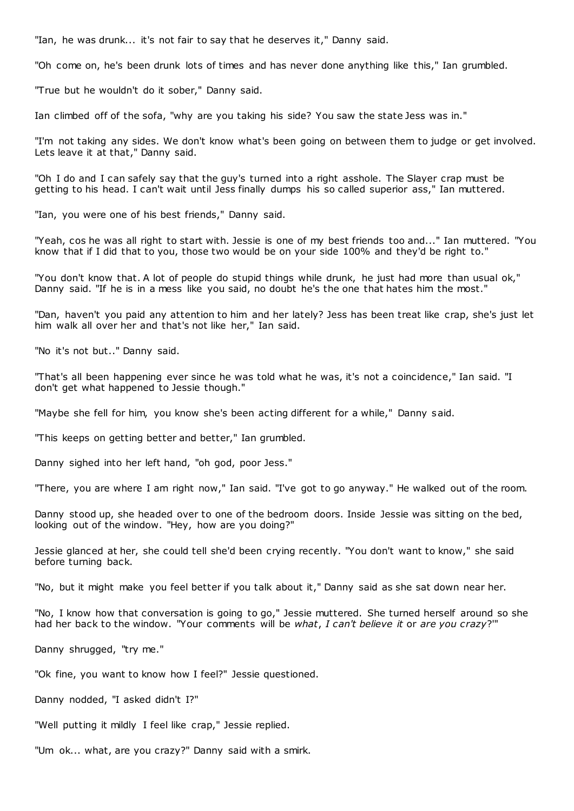"Ian, he was drunk... it's not fair to say that he deserves it," Danny said.

"Oh come on, he's been drunk lots of times and has never done anything like this," Ian grumbled.

"True but he wouldn't do it sober," Danny said.

Ian climbed off of the sofa, "why are you taking his side? You saw the state Jess was in."

"I'm not taking any sides. We don't know what's been going on between them to judge or get involved. Lets leave it at that," Danny said.

"Oh I do and I can safely say that the guy's turned into a right asshole. The Slayer crap must be getting to his head. I can't wait until Jess finally dumps his so called superior ass," Ian muttered.

"Ian, you were one of his best friends," Danny said.

"Yeah, cos he was all right to start with. Jessie is one of my best friends too and..." Ian muttered. "You know that if I did that to you, those two would be on your side 100% and they'd be right to."

"You don't know that. A lot of people do stupid things while drunk, he just had more than usual ok," Danny said. "If he is in a mess like you said, no doubt he's the one that hates him the most."

"Dan, haven't you paid any attention to him and her lately? Jess has been treat like crap, she's just let him walk all over her and that's not like her," Ian said.

"No it's not but.." Danny said.

"That's all been happening ever since he was told what he was, it's not a coincidence," Ian said. "I don't get what happened to Jessie though."

"Maybe she fell for him, you know she's been acting different for a while," Danny said.

"This keeps on getting better and better," Ian grumbled.

Danny sighed into her left hand, "oh god, poor Jess."

"There, you are where I am right now," Ian said. "I've got to go anyway." He walked out of the room.

Danny stood up, she headed over to one of the bedroom doors. Inside Jessie was sitting on the bed, looking out of the window. "Hey, how are you doing?"

Jessie glanced at her, she could tell she'd been crying recently. "You don't want to know," she said before turning back.

"No, but it might make you feel better if you talk about it," Danny said as she sat down near her.

"No, I know how that conversation is going to go," Jessie muttered. She turned herself around so she had her back to the window. "Your comments will be *what*, *I can't believe it* or *are you crazy*?'"

Danny shrugged, "try me."

"Ok fine, you want to know how I feel?" Jessie questioned.

Danny nodded, "I asked didn't I?"

"Well putting it mildly I feel like crap," Jessie replied.

"Um ok... what, are you crazy?" Danny said with a smirk.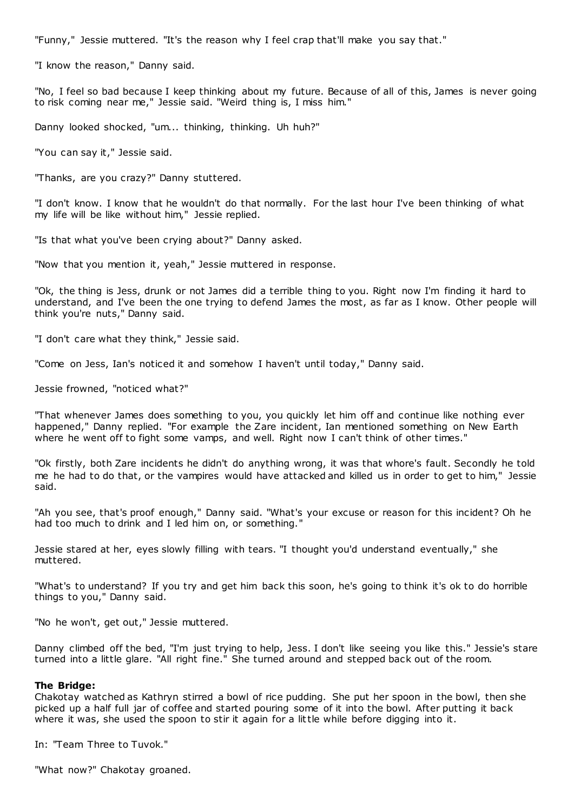"Funny," Jessie muttered. "It's the reason why I feel crap that'll make you say that."

"I know the reason," Danny said.

"No, I feel so bad because I keep thinking about my future. Because of all of this, James is never going to risk coming near me," Jessie said. "Weird thing is, I miss him."

Danny looked shocked, "um... thinking, thinking. Uh huh?"

"You can say it," Jessie said.

"Thanks, are you crazy?" Danny stuttered.

"I don't know. I know that he wouldn't do that normally. For the last hour I've been thinking of what my life will be like without him," Jessie replied.

"Is that what you've been crying about?" Danny asked.

"Now that you mention it, yeah," Jessie muttered in response.

"Ok, the thing is Jess, drunk or not James did a terrible thing to you. Right now I'm finding it hard to understand, and I've been the one trying to defend James the most, as far as I know. Other people will think you're nuts," Danny said.

"I don't care what they think," Jessie said.

"Come on Jess, Ian's noticed it and somehow I haven't until today," Danny said.

Jessie frowned, "noticed what?"

"That whenever James does something to you, you quickly let him off and continue like nothing ever happened," Danny replied. "For example the Zare incident, Ian mentioned something on New Earth where he went off to fight some vamps, and well. Right now I can't think of other times."

"Ok firstly, both Zare incidents he didn't do anything wrong, it was that whore's fault. Secondly he told me he had to do that, or the vampires would have attacked and killed us in order to get to him," Jessie said.

"Ah you see, that's proof enough," Danny said. "What's your excuse or reason for this incident? Oh he had too much to drink and I led him on, or something.

Jessie stared at her, eyes slowly filling with tears. "I thought you'd understand eventually," she muttered.

"What's to understand? If you try and get him back this soon, he's going to think it's ok to do horrible things to you," Danny said.

"No he won't, get out," Jessie muttered.

Danny climbed off the bed, "I'm just trying to help, Jess. I don't like seeing you like this." Jessie's stare turned into a little glare. "All right fine." She turned around and stepped back out of the room.

#### **The Bridge:**

Chakotay watched as Kathryn stirred a bowl of rice pudding. She put her spoon in the bowl, then she picked up a half full jar of coffee and started pouring some of it into the bowl. After putting it back where it was, she used the spoon to stir it again for a little while before digging into it.

In: "Team Three to Tuvok."

"What now?" Chakotay groaned.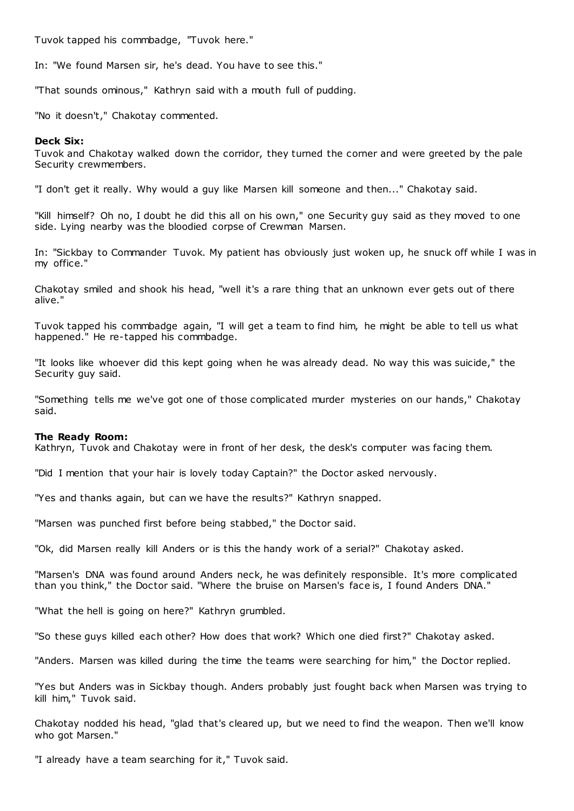Tuvok tapped his commbadge, "Tuvok here."

In: "We found Marsen sir, he's dead. You have to see this."

"That sounds ominous," Kathryn said with a mouth full of pudding.

"No it doesn't," Chakotay commented.

#### **Deck Six:**

Tuvok and Chakotay walked down the corridor, they turned the corner and were greeted by the pale Security crewmembers.

"I don't get it really. Why would a guy like Marsen kill someone and then..." Chakotay said.

"Kill himself? Oh no, I doubt he did this all on his own," one Security guy said as they moved to one side. Lying nearby was the bloodied corpse of Crewman Marsen.

In: "Sickbay to Commander Tuvok. My patient has obviously just woken up, he snuck off while I was in my office."

Chakotay smiled and shook his head, "well it's a rare thing that an unknown ever gets out of there alive."

Tuvok tapped his commbadge again, "I will get a team to find him, he might be able to tell us what happened." He re-tapped his commbadge.

"It looks like whoever did this kept going when he was already dead. No way this was suicide," the Security guy said.

"Something tells me we've got one of those complicated murder mysteries on our hands," Chakotay said.

#### **The Ready Room:**

Kathryn, Tuvok and Chakotay were in front of her desk, the desk's computer was facing them.

"Did I mention that your hair is lovely today Captain?" the Doctor asked nervously.

"Yes and thanks again, but can we have the results?" Kathryn snapped.

"Marsen was punched first before being stabbed," the Doctor said.

"Ok, did Marsen really kill Anders or is this the handy work of a serial?" Chakotay asked.

"Marsen's DNA was found around Anders neck, he was definitely responsible. It's more complicated than you think," the Doctor said. "Where the bruise on Marsen's face is, I found Anders DNA."

"What the hell is going on here?" Kathryn grumbled.

"So these guys killed each other? How does that work? Which one died first?" Chakotay asked.

"Anders. Marsen was killed during the time the teams were searching for him," the Doctor replied.

"Yes but Anders was in Sickbay though. Anders probably just fought back when Marsen was trying to kill him," Tuvok said.

Chakotay nodded his head, "glad that's cleared up, but we need to find the weapon. Then we'll know who got Marsen."

"I already have a team searching for it," Tuvok said.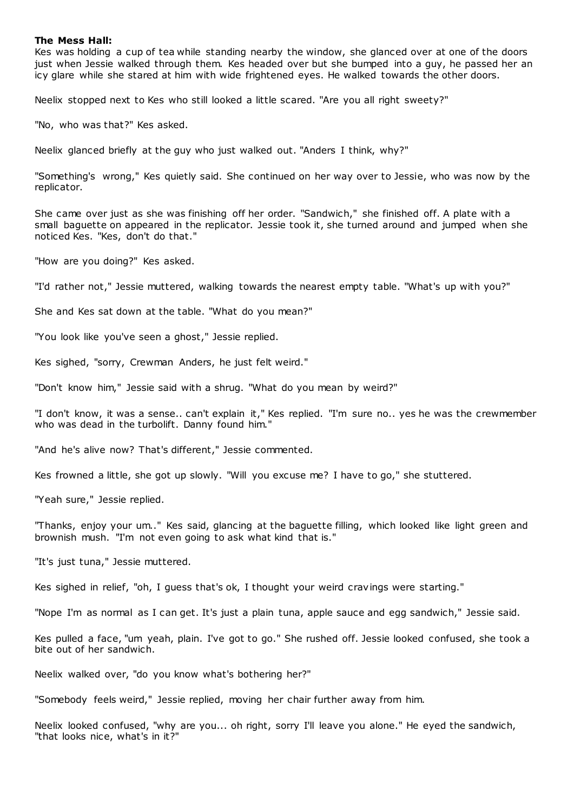#### **The Mess Hall:**

Kes was holding a cup of tea while standing nearby the window, she glanced over at one of the doors just when Jessie walked through them. Kes headed over but she bumped into a guy, he passed her an icy glare while she stared at him with wide frightened eyes. He walked towards the other doors.

Neelix stopped next to Kes who still looked a little scared. "Are you all right sweety?"

"No, who was that?" Kes asked.

Neelix glanced briefly at the guy who just walked out. "Anders I think, why?"

"Something's wrong," Kes quietly said. She continued on her way over to Jessie, who was now by the replicator.

She came over just as she was finishing off her order. "Sandwich," she finished off. A plate with a small baguette on appeared in the replicator. Jessie took it, she turned around and jumped when she noticed Kes. "Kes, don't do that."

"How are you doing?" Kes asked.

"I'd rather not," Jessie muttered, walking towards the nearest empty table. "What's up with you?"

She and Kes sat down at the table. "What do you mean?"

"You look like you've seen a ghost," Jessie replied.

Kes sighed, "sorry, Crewman Anders, he just felt weird."

"Don't know him," Jessie said with a shrug. "What do you mean by weird?"

"I don't know, it was a sense.. can't explain it," Kes replied. "I'm sure no.. yes he was the crewmember who was dead in the turbolift. Danny found him."

"And he's alive now? That's different," Jessie commented.

Kes frowned a little, she got up slowly. "Will you excuse me? I have to go," she stuttered.

"Yeah sure," Jessie replied.

"Thanks, enjoy your um.." Kes said, glancing at the baguette filling, which looked like light green and brownish mush. "I'm not even going to ask what kind that is."

"It's just tuna," Jessie muttered.

Kes sighed in relief, "oh, I guess that's ok, I thought your weird cravings were starting."

"Nope I'm as normal as I can get. It's just a plain tuna, apple sauce and egg sandwich," Jessie said.

Kes pulled a face, "um yeah, plain. I've got to go." She rushed off. Jessie looked confused, she took a bite out of her sandwich.

Neelix walked over, "do you know what's bothering her?"

"Somebody feels weird," Jessie replied, moving her chair further away from him.

Neelix looked confused, "why are you... oh right, sorry I'll leave you alone." He eyed the sandwich, "that looks nice, what's in it?"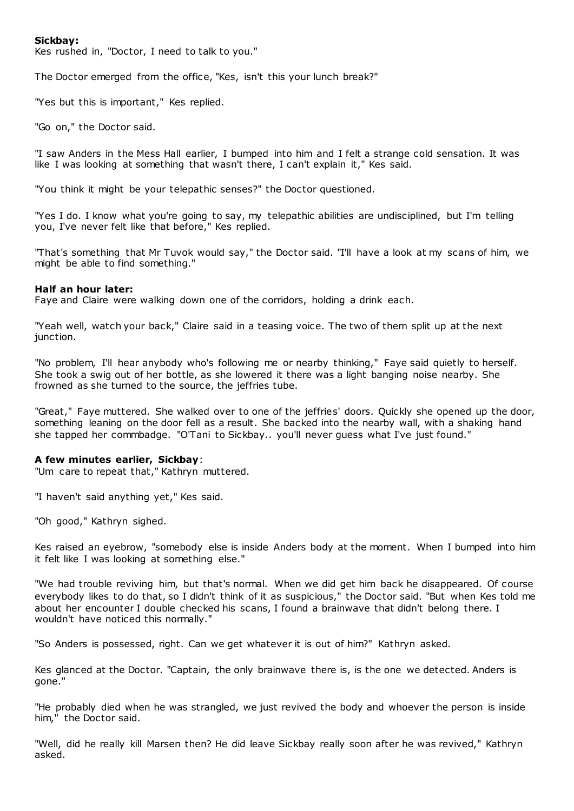## **Sickbay:**

Kes rushed in, "Doctor, I need to talk to you."

The Doctor emerged from the office, "Kes, isn't this your lunch break?"

"Yes but this is important," Kes replied.

"Go on," the Doctor said.

"I saw Anders in the Mess Hall earlier, I bumped into him and I felt a strange cold sensation. It was like I was looking at something that wasn't there, I can't explain it," Kes said.

"You think it might be your telepathic senses?" the Doctor questioned.

"Yes I do. I know what you're going to say, my telepathic abilities are undisciplined, but I'm telling you, I've never felt like that before," Kes replied.

"That's something that Mr Tuvok would say," the Doctor said. "I'll have a look at my scans of him, we might be able to find something."

#### **Half an hour later:**

Faye and Claire were walking down one of the corridors, holding a drink each.

"Yeah well, watch your back," Claire said in a teasing voice. The two of them split up at the next junction.

"No problem, I'll hear anybody who's following me or nearby thinking," Faye said quietly to herself. She took a swig out of her bottle, as she lowered it there was a light banging noise nearby. She frowned as she turned to the source, the jeffries tube.

"Great," Faye muttered. She walked over to one of the jeffries' doors. Quickly she opened up the door, something leaning on the door fell as a result. She backed into the nearby wall, with a shaking hand she tapped her commbadge. "O'Tani to Sickbay.. you'll never guess what I've just found."

#### **A few minutes earlier, Sickbay**:

"Um care to repeat that," Kathryn muttered.

"I haven't said anything yet," Kes said.

"Oh good," Kathryn sighed.

Kes raised an eyebrow, "somebody else is inside Anders body at the moment. When I bumped into him it felt like I was looking at something else."

"We had trouble reviving him, but that's normal. When we did get him back he disappeared. Of course everybody likes to do that, so I didn't think of it as suspicious," the Doctor said. "But when Kes told me about her encounter I double checked his scans, I found a brainwave that didn't belong there. I wouldn't have noticed this normally."

"So Anders is possessed, right. Can we get whatever it is out of him?" Kathryn asked.

Kes glanced at the Doctor. "Captain, the only brainwave there is, is the one we detected. Anders is gone."

"He probably died when he was strangled, we just revived the body and whoever the person is inside him," the Doctor said.

"Well, did he really kill Marsen then? He did leave Sickbay really soon after he was revived," Kathryn asked.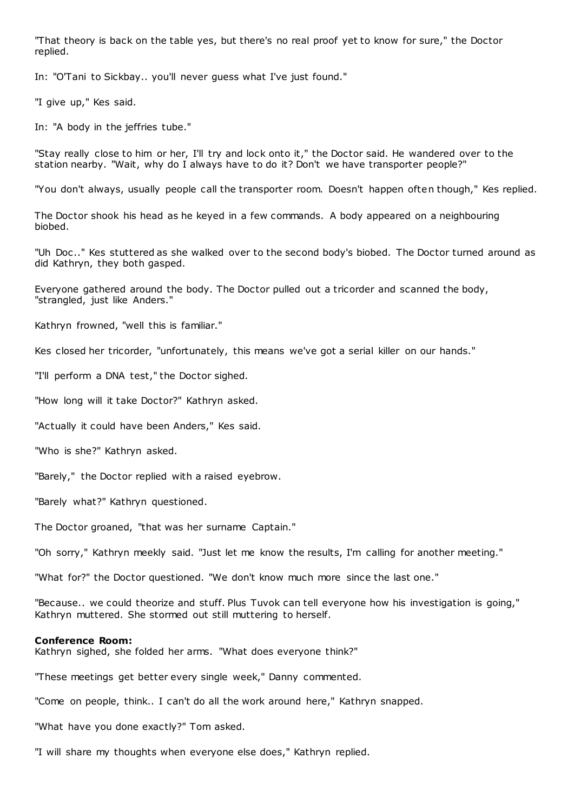"That theory is back on the table yes, but there's no real proof yet to know for sure," the Doctor replied.

In: "O'Tani to Sickbay.. you'll never guess what I've just found."

"I give up," Kes said.

In: "A body in the jeffries tube."

"Stay really close to him or her, I'll try and lock onto it," the Doctor said. He wandered over to the station nearby. "Wait, why do I always have to do it? Don't we have transporter people?"

"You don't always, usually people call the transporter room. Doesn't happen often though," Kes replied.

The Doctor shook his head as he keyed in a few commands. A body appeared on a neighbouring biobed.

"Uh Doc .." Kes stuttered as she walked over to the second body's biobed. The Doctor turned around as did Kathryn, they both gasped.

Everyone gathered around the body. The Doctor pulled out a tricorder and scanned the body, "strangled, just like Anders."

Kathryn frowned, "well this is familiar."

Kes closed her tricorder, "unfortunately, this means we've got a serial killer on our hands."

"I'll perform a DNA test," the Doctor sighed.

"How long will it take Doctor?" Kathryn asked.

"Actually it could have been Anders," Kes said.

"Who is she?" Kathryn asked.

"Barely," the Doctor replied with a raised eyebrow.

"Barely what?" Kathryn questioned.

The Doctor groaned, "that was her surname Captain."

"Oh sorry," Kathryn meekly said. "Just let me know the results, I'm calling for another meeting."

"What for?" the Doctor questioned. "We don't know much more since the last one."

"Because.. we could theorize and stuff. Plus Tuvok can tell everyone how his investigation is going," Kathryn muttered. She stormed out still muttering to herself.

#### **Conference Room:**

Kathryn sighed, she folded her arms. "What does everyone think?"

"These meetings get better every single week," Danny commented.

"Come on people, think.. I can't do all the work around here," Kathryn snapped.

"What have you done exactly?" Tom asked.

"I will share my thoughts when everyone else does," Kathryn replied.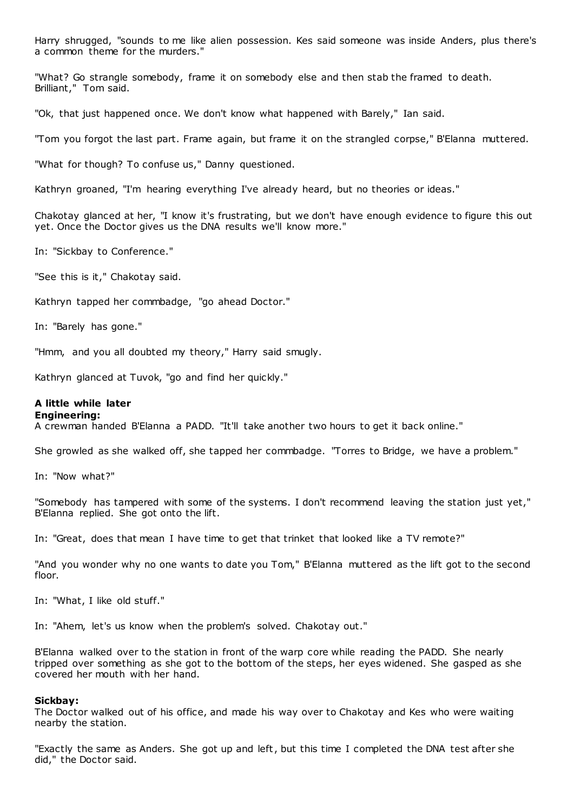Harry shrugged, "sounds to me like alien possession. Kes said someone was inside Anders, plus there's a common theme for the murders."

"What? Go strangle somebody, frame it on somebody else and then stab the framed to death. Brilliant," Tom said.

"Ok, that just happened once. We don't know what happened with Barely," Ian said.

"Tom you forgot the last part. Frame again, but frame it on the strangled corpse," B'Elanna muttered.

"What for though? To confuse us," Danny questioned.

Kathryn groaned, "I'm hearing everything I've already heard, but no theories or ideas."

Chakotay glanced at her, "I know it's frustrating, but we don't have enough evidence to figure this out yet. Once the Doctor gives us the DNA results we'll know more."

In: "Sickbay to Conference."

"See this is it," Chakotay said.

Kathryn tapped her commbadge, "go ahead Doctor."

In: "Barely has gone."

"Hmm, and you all doubted my theory," Harry said smugly.

Kathryn glanced at Tuvok, "go and find her quickly."

## **A little while later**

## **Engineering:**

A crewman handed B'Elanna a PADD. "It'll take another two hours to get it back online."

She growled as she walked off, she tapped her commbadge. "Torres to Bridge, we have a problem."

In: "Now what?"

"Somebody has tampered with some of the systems. I don't recommend leaving the station just yet," B'Elanna replied. She got onto the lift.

In: "Great, does that mean I have time to get that trinket that looked like a TV remote?"

"And you wonder why no one wants to date you Tom," B'Elanna muttered as the lift got to the second floor.

In: "What, I like old stuff."

In: "Ahem, let's us know when the problem's solved. Chakotay out."

B'Elanna walked over to the station in front of the warp core while reading the PADD. She nearly tripped over something as she got to the bottom of the steps, her eyes widened. She gasped as she covered her mouth with her hand.

#### **Sickbay:**

The Doctor walked out of his office, and made his way over to Chakotay and Kes who were waiting nearby the station.

"Exactly the same as Anders. She got up and left, but this time I completed the DNA test after she did," the Doctor said.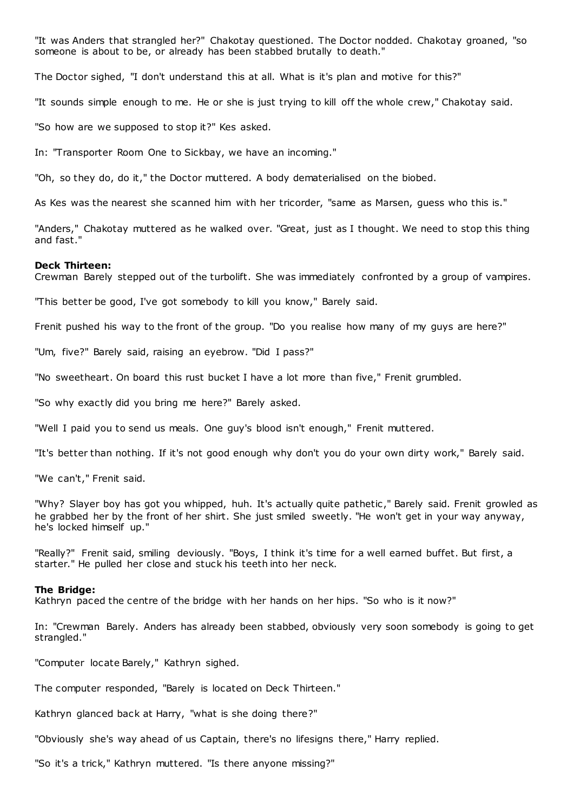"It was Anders that strangled her?" Chakotay questioned. The Doctor nodded. Chakotay groaned, "so someone is about to be, or already has been stabbed brutally to death."

The Doctor sighed, "I don't understand this at all. What is it's plan and motive for this?"

"It sounds simple enough to me. He or she is just trying to kill off the whole crew," Chakotay said.

"So how are we supposed to stop it?" Kes asked.

In: "Transporter Room One to Sickbay, we have an incoming."

"Oh, so they do, do it," the Doctor muttered. A body dematerialised on the biobed.

As Kes was the nearest she scanned him with her tricorder, "same as Marsen, guess who this is."

"Anders," Chakotay muttered as he walked over. "Great, just as I thought. We need to stop this thing and fast."

#### **Deck Thirteen:**

Crewman Barely stepped out of the turbolift. She was immediately confronted by a group of vampires.

"This better be good, I've got somebody to kill you know," Barely said.

Frenit pushed his way to the front of the group. "Do you realise how many of my guys are here?"

"Um, five?" Barely said, raising an eyebrow. "Did I pass?"

"No sweetheart. On board this rust bucket I have a lot more than five," Frenit grumbled.

"So why exactly did you bring me here?" Barely asked.

"Well I paid you to send us meals. One guy's blood isn't enough," Frenit muttered.

"It's better than nothing. If it's not good enough why don't you do your own dirty work," Barely said.

"We can't," Frenit said.

"Why? Slayer boy has got you whipped, huh. It's actually quite pathetic ," Barely said. Frenit growled as he grabbed her by the front of her shirt. She just smiled sweetly. "He won't get in your way anyway, he's locked himself up."

"Really?" Frenit said, smiling deviously. "Boys, I think it's time for a well earned buffet. But first, a starter." He pulled her close and stuck his teeth into her neck.

#### **The Bridge:**

Kathryn paced the centre of the bridge with her hands on her hips. "So who is it now?"

In: "Crewman Barely. Anders has already been stabbed, obviously very soon somebody is going to get strangled."

"Computer locate Barely," Kathryn sighed.

The computer responded, "Barely is located on Deck Thirteen."

Kathryn glanced back at Harry, "what is she doing there?"

"Obviously she's way ahead of us Captain, there's no lifesigns there," Harry replied.

"So it's a trick," Kathryn muttered. "Is there anyone missing?"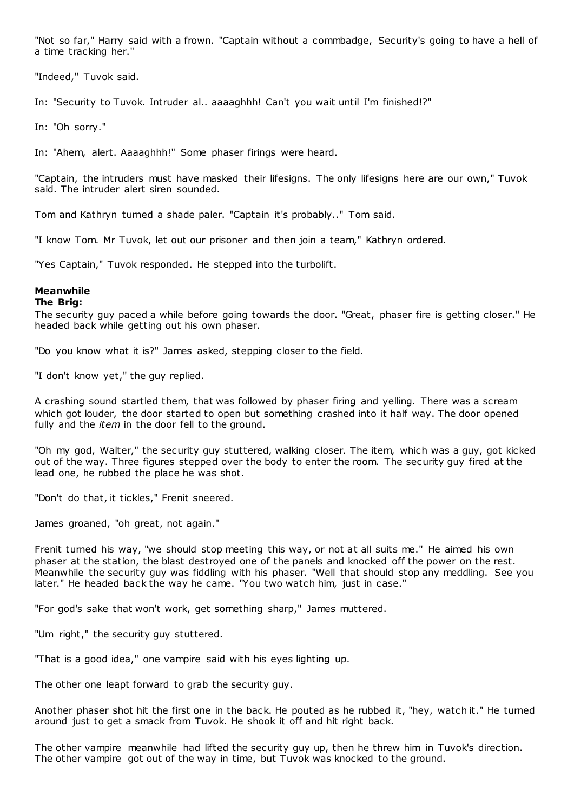"Not so far," Harry said with a frown. "Captain without a commbadge, Security's going to have a hell of a time tracking her."

"Indeed," Tuvok said.

In: "Security to Tuvok. Intruder al.. aaaaghhh! Can't you wait until I'm finished!?"

In: "Oh sorry."

In: "Ahem, alert. Aaaaghhh!" Some phaser firings were heard.

"Captain, the intruders must have masked their lifesigns. The only lifesigns here are our own," Tuvok said. The intruder alert siren sounded.

Tom and Kathryn turned a shade paler. "Captain it's probably.." Tom said.

"I know Tom. Mr Tuvok, let out our prisoner and then join a team," Kathryn ordered.

"Yes Captain," Tuvok responded. He stepped into the turbolift.

# **Meanwhile**

## **The Brig:**

The security guy paced a while before going towards the door. "Great, phaser fire is getting closer." He headed back while getting out his own phaser.

"Do you know what it is?" James asked, stepping closer to the field.

"I don't know yet," the guy replied.

A crashing sound startled them, that was followed by phaser firing and yelling. There was a scream which got louder, the door started to open but something crashed into it half way. The door opened fully and the *item* in the door fell to the ground.

"Oh my god, Walter," the security guy stuttered, walking closer. The item, which was a guy, got kicked out of the way. Three figures stepped over the body to enter the room. The security guy fired at the lead one, he rubbed the place he was shot.

"Don't do that, it tickles," Frenit sneered.

James groaned, "oh great, not again."

Frenit turned his way, "we should stop meeting this way, or not at all suits me." He aimed his own phaser at the station, the blast destroyed one of the panels and knocked off the power on the rest. Meanwhile the security guy was fiddling with his phaser. "Well that should stop any meddling. See you later." He headed back the way he came. "You two watch him, just in case."

"For god's sake that won't work, get something sharp," James muttered.

"Um right," the security guy stuttered.

"That is a good idea," one vampire said with his eyes lighting up.

The other one leapt forward to grab the security guy.

Another phaser shot hit the first one in the back. He pouted as he rubbed it, "hey, watch it." He turned around just to get a smack from Tuvok. He shook it off and hit right back.

The other vampire meanwhile had lifted the security guy up, then he threw him in Tuvok's direction. The other vampire got out of the way in time, but Tuvok was knocked to the ground.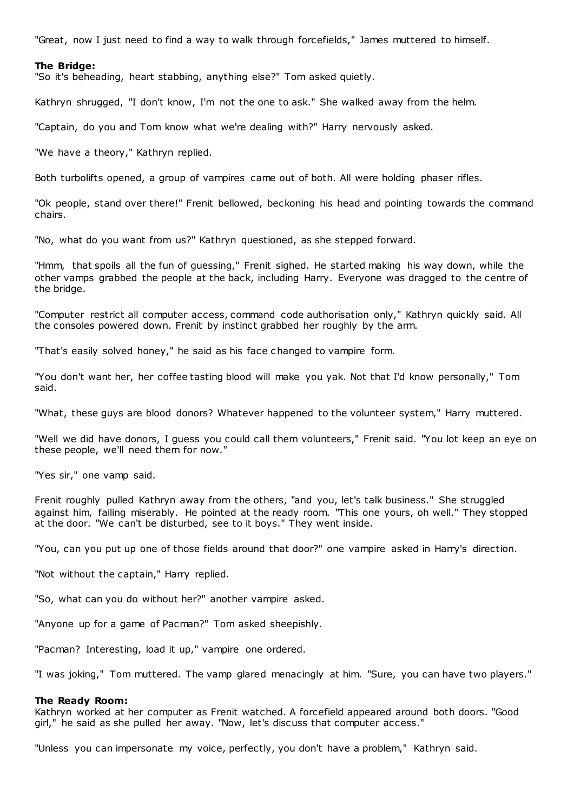"Great, now I just need to find a way to walk through forcefields," James muttered to himself.

#### **The Bridge:**

"So it's beheading, heart stabbing, anything else?" Tom asked quietly.

Kathryn shrugged, "I don't know, I'm not the one to ask." She walked away from the helm.

"Captain, do you and Tom know what we're dealing with?" Harry nervously asked.

"We have a theory," Kathryn replied.

Both turbolifts opened, a group of vampires came out of both. All were holding phaser rifles.

"Ok people, stand over there!" Frenit bellowed, beckoning his head and pointing towards the command chairs.

"No, what do you want from us?" Kathryn questioned, as she stepped forward.

"Hmm, that spoils all the fun of guessing," Frenit sighed. He started making his way down, while the other vamps grabbed the people at the back, including Harry. Everyone was dragged to the centre of the bridge.

"Computer restrict all computer access, command code authorisation only," Kathryn quickly said. All the consoles powered down. Frenit by instinct grabbed her roughly by the arm.

"That's easily solved honey," he said as his face c hanged to vampire form.

"You don't want her, her coffee tasting blood will make you yak. Not that I'd know personally," Tom said.

"What, these guys are blood donors? Whatever happened to the volunteer system," Harry muttered.

"Well we did have donors, I guess you could call them volunteers," Frenit said. "You lot keep an eye on these people, we'll need them for now."

"Yes sir," one vamp said.

Frenit roughly pulled Kathryn away from the others, "and you, let's talk business." She struggled against him, failing miserably. He pointed at the ready room. "This one yours, oh well." They stopped at the door. "We can't be disturbed, see to it boys." They went inside.

"You, can you put up one of those fields around that door?" one vampire asked in Harry's direction.

"Not without the captain," Harry replied.

"So, what can you do without her?" another vampire asked.

"Anyone up for a game of Pacman?" Tom asked sheepishly.

"Pacman? Interesting, load it up," vampire one ordered.

"I was joking," Tom muttered. The vamp glared menacingly at him. "Sure, you can have two players."

## **The Ready Room:**

Kathryn worked at her computer as Frenit watched. A forcefield appeared around both doors. "Good girl," he said as she pulled her away. "Now, let's discuss that computer access."

"Unless you can impersonate my voice, perfectly, you don't have a problem," Kathryn said.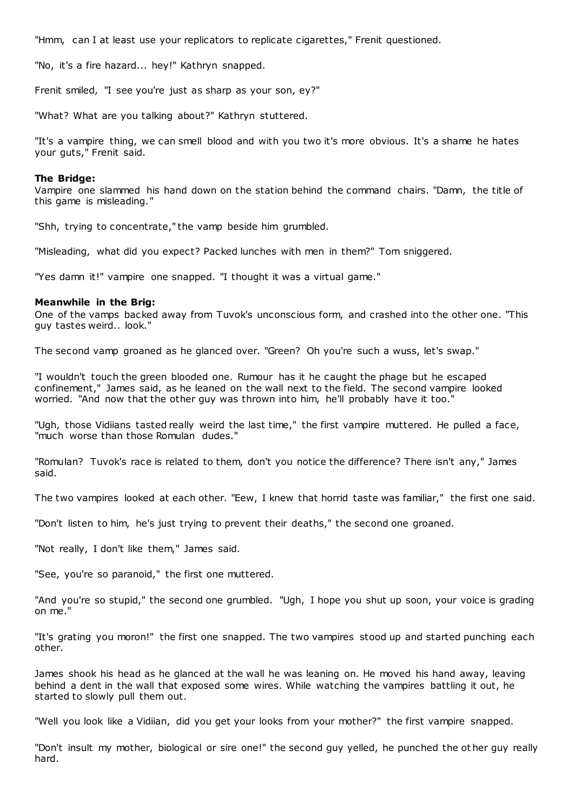"Hmm, can I at least use your replicators to replicate cigarettes," Frenit questioned.

"No, it's a fire hazard... hey!" Kathryn snapped.

Frenit smiled, "I see you're just as sharp as your son, ey?"

"What? What are you talking about?" Kathryn stuttered.

"It's a vampire thing, we can smell blood and with you two it's more obvious. It's a shame he hates your guts," Frenit said.

## **The Bridge:**

Vampire one slammed his hand down on the station behind the command chairs. "Damn, the title of this game is misleading."

"Shh, trying to concentrate," the vamp beside him grumbled.

"Misleading, what did you expect? Packed lunches with men in them?" Tom sniggered.

"Yes damn it!" vampire one snapped. "I thought it was a virtual game."

## **Meanwhile in the Brig:**

One of the vamps backed away from Tuvok's unconscious form, and crashed into the other one. "This guy tastes weird.. look."

The second vamp groaned as he glanced over. "Green? Oh you're such a wuss, let's swap."

"I wouldn't touch the green blooded one. Rumour has it he caught the phage but he escaped confinement," James said, as he leaned on the wall next to the field. The second vampire looked worried. "And now that the other guy was thrown into him, he'll probably have it too."

"Ugh, those Vidiians tasted really weird the last time," the first vampire muttered. He pulled a face, "much worse than those Romulan dudes."

"Romulan? Tuvok's race is related to them, don't you notice the difference? There isn't any," James said.

The two vampires looked at each other. "Eew, I knew that horrid taste was familiar," the first one said.

"Don't listen to him, he's just trying to prevent their deaths," the second one groaned.

"Not really, I don't like them," James said.

"See, you're so paranoid," the first one muttered.

"And you're so stupid," the second one grumbled. "Ugh, I hope you shut up soon, your voice is grading on me."

"It's grating you moron!" the first one snapped. The two vampires stood up and started punching each other.

James shook his head as he glanced at the wall he was leaning on. He moved his hand away, leaving behind a dent in the wall that exposed some wires. While watching the vampires battling it out, he started to slowly pull them out.

"Well you look like a Vidiian, did you get your looks from your mother?" the first vampire snapped.

"Don't insult my mother, biological or sire one!" the second guy yelled, he punched the ot her guy really hard.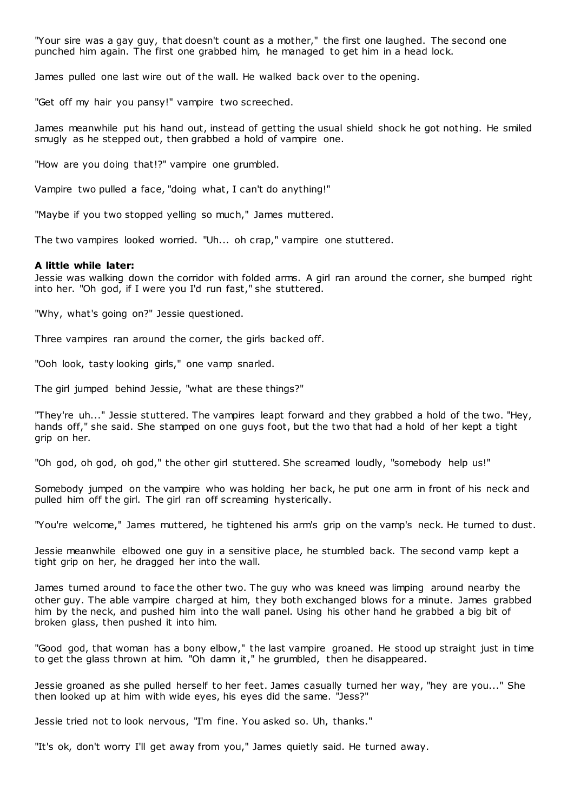"Your sire was a gay guy, that doesn't count as a mother," the first one laughed. The second one punched him again. The first one grabbed him, he managed to get him in a head lock.

James pulled one last wire out of the wall. He walked back over to the opening.

"Get off my hair you pansy!" vampire two screeched.

James meanwhile put his hand out, instead of getting the usual shield shock he got nothing. He smiled smugly as he stepped out, then grabbed a hold of vampire one.

"How are you doing that!?" vampire one grumbled.

Vampire two pulled a face, "doing what, I can't do anything!"

"Maybe if you two stopped yelling so much," James muttered.

The two vampires looked worried. "Uh... oh crap," vampire one stuttered.

## **A little while later:**

Jessie was walking down the corridor with folded arms. A girl ran around the corner, she bumped right into her. "Oh god, if I were you I'd run fast," she stuttered.

"Why, what's going on?" Jessie questioned.

Three vampires ran around the corner, the girls backed off.

"Ooh look, tasty looking girls," one vamp snarled.

The girl jumped behind Jessie, "what are these things?"

"They're uh..." Jessie stuttered. The vampires leapt forward and they grabbed a hold of the two. "Hey, hands off," she said. She stamped on one guys foot, but the two that had a hold of her kept a tight grip on her.

"Oh god, oh god, oh god," the other girl stuttered. She screamed loudly, "somebody help us!"

Somebody jumped on the vampire who was holding her back, he put one arm in front of his neck and pulled him off the girl. The girl ran off screaming hysterically.

"You're welcome," James muttered, he tightened his arm's grip on the vamp's neck. He turned to dust.

Jessie meanwhile elbowed one guy in a sensitive place, he stumbled back. The second vamp kept a tight grip on her, he dragged her into the wall.

James turned around to face the other two. The guy who was kneed was limping around nearby the other guy. The able vampire charged at him, they both exchanged blows for a minute. James grabbed him by the neck, and pushed him into the wall panel. Using his other hand he grabbed a big bit of broken glass, then pushed it into him.

"Good god, that woman has a bony elbow," the last vampire groaned. He stood up straight just in time to get the glass thrown at him. "Oh damn it," he grumbled, then he disappeared.

Jessie groaned as she pulled herself to her feet. James casually turned her way, "hey are you..." She then looked up at him with wide eyes, his eyes did the same. "Jess?"

Jessie tried not to look nervous, "I'm fine. You asked so. Uh, thanks."

"It's ok, don't worry I'll get away from you," James quietly said. He turned away.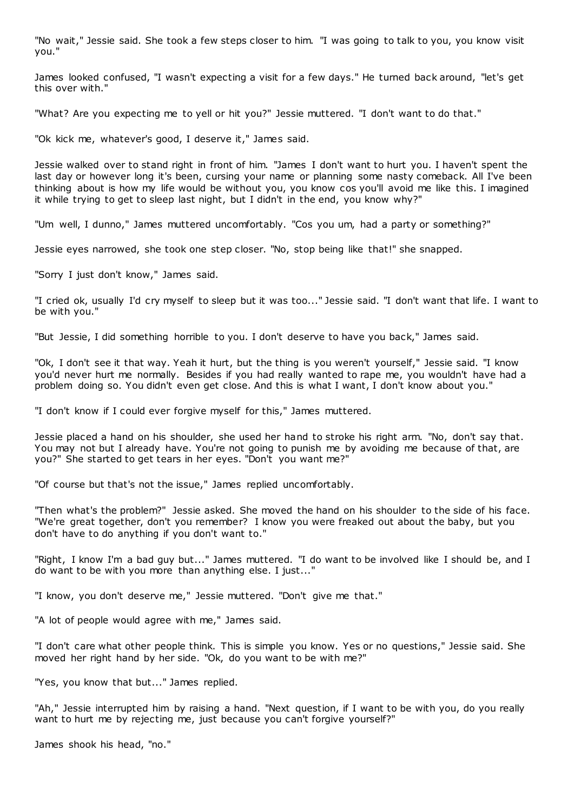"No wait," Jessie said. She took a few steps closer to him. "I was going to talk to you, you know visit you."

James looked confused, "I wasn't expecting a visit for a few days." He turned back around, "let's get this over with."

"What? Are you expecting me to yell or hit you?" Jessie muttered. "I don't want to do that."

"Ok kick me, whatever's good, I deserve it," James said.

Jessie walked over to stand right in front of him. "James I don't want to hurt you. I haven't spent the last day or however long it's been, cursing your name or planning some nasty comeback. All I've been thinking about is how my life would be without you, you know cos you'll avoid me like this. I imagined it while trying to get to sleep last night, but I didn't in the end, you know why?"

"Um well, I dunno," James muttered uncomfortably. "Cos you um, had a party or something?"

Jessie eyes narrowed, she took one step closer. "No, stop being like that!" she snapped.

"Sorry I just don't know," James said.

"I cried ok, usually I'd cry myself to sleep but it was too..." Jessie said. "I don't want that life. I want to be with you."

"But Jessie, I did something horrible to you. I don't deserve to have you back," James said.

"Ok, I don't see it that way. Yeah it hurt, but the thing is you weren't yourself," Jessie said. "I know you'd never hurt me normally. Besides if you had really wanted to rape me, you wouldn't have had a problem doing so. You didn't even get close. And this is what I want, I don't know about you."

"I don't know if I could ever forgive myself for this," James muttered.

Jessie placed a hand on his shoulder, she used her hand to stroke his right arm. "No, don't say that. You may not but I already have. You're not going to punish me by avoiding me because of that, are you?" She started to get tears in her eyes. "Don't you want me?"

"Of course but that's not the issue," James replied uncomfortably.

"Then what's the problem?" Jessie asked. She moved the hand on his shoulder to the side of his face. "We're great together, don't you remember? I know you were freaked out about the baby, but you don't have to do anything if you don't want to."

"Right, I know I'm a bad guy but..." James muttered. "I do want to be involved like I should be, and I do want to be with you more than anything else. I just..."

"I know, you don't deserve me," Jessie muttered. "Don't give me that."

"A lot of people would agree with me," James said.

"I don't care what other people think. This is simple you know. Yes or no questions," Jessie said. She moved her right hand by her side. "Ok, do you want to be with me?"

"Yes, you know that but..." James replied.

"Ah," Jessie interrupted him by raising a hand. "Next question, if I want to be with you, do you really want to hurt me by rejecting me, just because you can't forgive yourself?"

James shook his head, "no."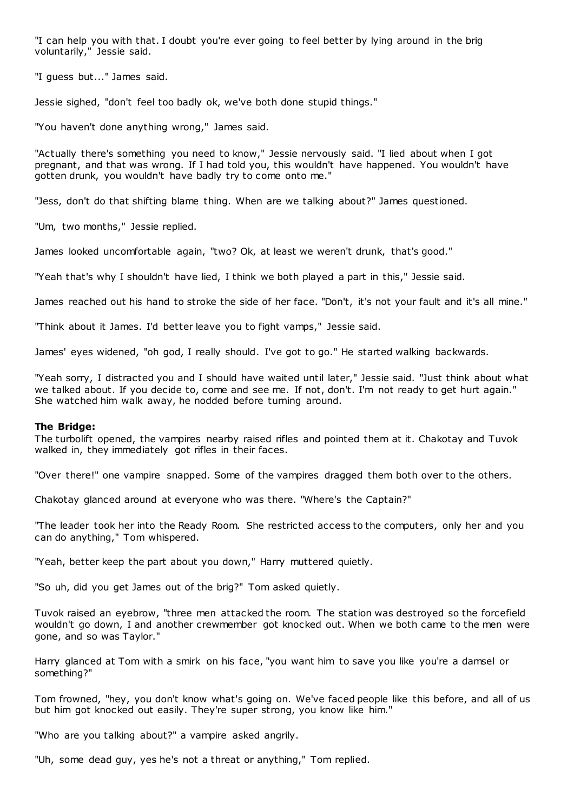"I can help you with that. I doubt you're ever going to feel better by lying around in the brig voluntarily," Jessie said.

"I guess but..." James said.

Jessie sighed, "don't feel too badly ok, we've both done stupid things."

"You haven't done anything wrong," James said.

"Actually there's something you need to know," Jessie nervously said. "I lied about when I got pregnant, and that was wrong. If I had told you, this wouldn't have happened. You wouldn't have gotten drunk, you wouldn't have badly try to come onto me."

"Jess, don't do that shifting blame thing. When are we talking about?" James questioned.

"Um, two months," Jessie replied.

James looked uncomfortable again, "two? Ok, at least we weren't drunk, that's good."

"Yeah that's why I shouldn't have lied, I think we both played a part in this," Jessie said.

James reached out his hand to stroke the side of her face. "Don't, it's not your fault and it's all mine."

"Think about it James. I'd better leave you to fight vamps," Jessie said.

James' eyes widened, "oh god, I really should. I've got to go." He started walking backwards.

"Yeah sorry, I distracted you and I should have waited until later," Jessie said. "Just think about what we talked about. If you decide to, come and see me. If not, don't. I'm not ready to get hurt again." She watched him walk away, he nodded before turning around.

## **The Bridge:**

The turbolift opened, the vampires nearby raised rifles and pointed them at it. Chakotay and Tuvok walked in, they immediately got rifles in their faces.

"Over there!" one vampire snapped. Some of the vampires dragged them both over to the others.

Chakotay glanced around at everyone who was there. "Where's the Captain?"

"The leader took her into the Ready Room. She restricted access to the computers, only her and you can do anything," Tom whispered.

"Yeah, better keep the part about you down," Harry muttered quietly.

"So uh, did you get James out of the brig?" Tom asked quietly.

Tuvok raised an eyebrow, "three men attacked the room. The station was destroyed so the forcefield wouldn't go down, I and another crewmember got knocked out. When we both came to the men were gone, and so was Taylor."

Harry glanced at Tom with a smirk on his face, "you want him to save you like you're a damsel or something?"

Tom frowned, "hey, you don't know what's going on. We've faced people like this before, and all of us but him got knocked out easily. They're super strong, you know like him."

"Who are you talking about?" a vampire asked angrily.

"Uh, some dead guy, yes he's not a threat or anything," Tom replied.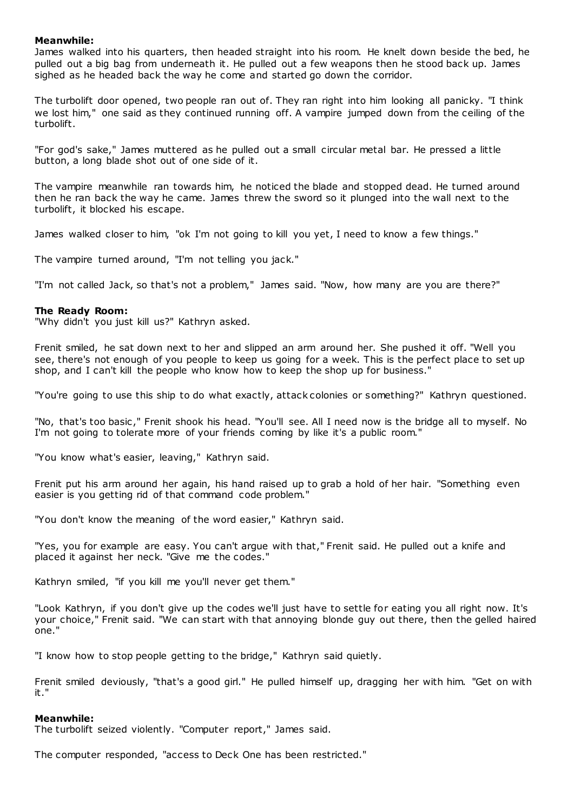## **Meanwhile:**

James walked into his quarters, then headed straight into his room. He knelt down beside the bed, he pulled out a big bag from underneath it. He pulled out a few weapons then he stood back up. James sighed as he headed back the way he come and started go down the corridor.

The turbolift door opened, two people ran out of. They ran right into him looking all panicky. "I think we lost him," one said as they continued running off. A vampire jumped down from the ceiling of the turbolift.

"For god's sake," James muttered as he pulled out a small circular metal bar. He pressed a little button, a long blade shot out of one side of it.

The vampire meanwhile ran towards him, he noticed the blade and stopped dead. He turned around then he ran back the way he came. James threw the sword so it plunged into the wall next to the turbolift, it blocked his escape.

James walked closer to him, "ok I'm not going to kill you yet, I need to know a few things."

The vampire turned around, "I'm not telling you jack."

"I'm not called Jack, so that's not a problem," James said. "Now, how many are you are there?"

## **The Ready Room:**

"Why didn't you just kill us?" Kathryn asked.

Frenit smiled, he sat down next to her and slipped an arm around her. She pushed it off. "Well you see, there's not enough of you people to keep us going for a week. This is the perfect place to set up shop, and I can't kill the people who know how to keep the shop up for business."

"You're going to use this ship to do what exactly, attack colonies or something?" Kathryn questioned.

"No, that's too basic ," Frenit shook his head. "You'll see. All I need now is the bridge all to myself. No I'm not going to tolerate more of your friends coming by like it's a public room."

"You know what's easier, leaving," Kathryn said.

Frenit put his arm around her again, his hand raised up to grab a hold of her hair. "Something even easier is you getting rid of that command code problem."

"You don't know the meaning of the word easier," Kathryn said.

"Yes, you for example are easy. You can't argue with that," Frenit said. He pulled out a knife and placed it against her neck. "Give me the codes."

Kathryn smiled, "if you kill me you'll never get them."

"Look Kathryn, if you don't give up the codes we'll just have to settle for eating you all right now. It's your choice," Frenit said. "We can start with that annoying blonde guy out there, then the gelled haired one."

"I know how to stop people getting to the bridge," Kathryn said quietly.

Frenit smiled deviously, "that's a good girl." He pulled himself up, dragging her with him. "Get on with it."

## **Meanwhile:**

The turbolift seized violently. "Computer report," James said.

The computer responded, "access to Deck One has been restricted."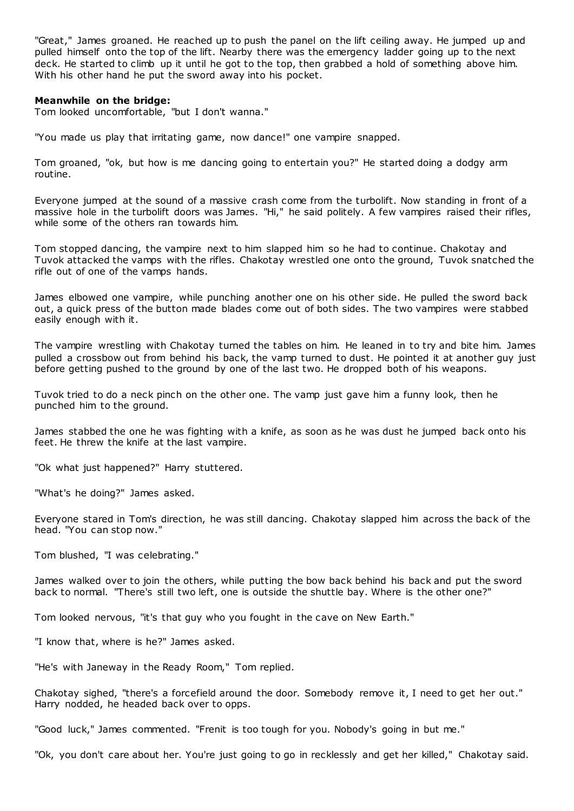"Great," James groaned. He reached up to push the panel on the lift ceiling away. He jumped up and pulled himself onto the top of the lift. Nearby there was the emergency ladder going up to the next deck. He started to climb up it until he got to the top, then grabbed a hold of something above him. With his other hand he put the sword away into his pocket.

## **Meanwhile on the bridge:**

Tom looked uncomfortable, "but I don't wanna."

"You made us play that irritating game, now dance!" one vampire snapped.

Tom groaned, "ok, but how is me dancing going to entertain you?" He started doing a dodgy arm routine.

Everyone jumped at the sound of a massive crash come from the turbolift. Now standing in front of a massive hole in the turbolift doors was James. "Hi," he said politely. A few vampires raised their rifles, while some of the others ran towards him.

Tom stopped dancing, the vampire next to him slapped him so he had to continue. Chakotay and Tuvok attacked the vamps with the rifles. Chakotay wrestled one onto the ground, Tuvok snatched the rifle out of one of the vamps hands.

James elbowed one vampire, while punching another one on his other side. He pulled the sword back out, a quick press of the button made blades come out of both sides. The two vampires were stabbed easily enough with it.

The vampire wrestling with Chakotay turned the tables on him. He leaned in to try and bite him. James pulled a crossbow out from behind his back, the vamp turned to dust. He pointed it at another guy just before getting pushed to the ground by one of the last two. He dropped both of his weapons.

Tuvok tried to do a neck pinch on the other one. The vamp just gave him a funny look, then he punched him to the ground.

James stabbed the one he was fighting with a knife, as soon as he was dust he jumped back onto his feet. He threw the knife at the last vampire.

"Ok what just happened?" Harry stuttered.

"What's he doing?" James asked.

Everyone stared in Tom's direction, he was still dancing. Chakotay slapped him across the back of the head. "You can stop now."

Tom blushed, "I was celebrating."

James walked over to join the others, while putting the bow back behind his back and put the sword back to normal. "There's still two left, one is outside the shuttle bay. Where is the other one?"

Tom looked nervous, "it's that guy who you fought in the cave on New Earth."

"I know that, where is he?" James asked.

"He's with Janeway in the Ready Room," Tom replied.

Chakotay sighed, "there's a forcefield around the door. Somebody remove it, I need to get her out." Harry nodded, he headed back over to opps.

"Good luck," James commented. "Frenit is too tough for you. Nobody's going in but me."

"Ok, you don't care about her. You're just going to go in recklessly and get her killed," Chakotay said.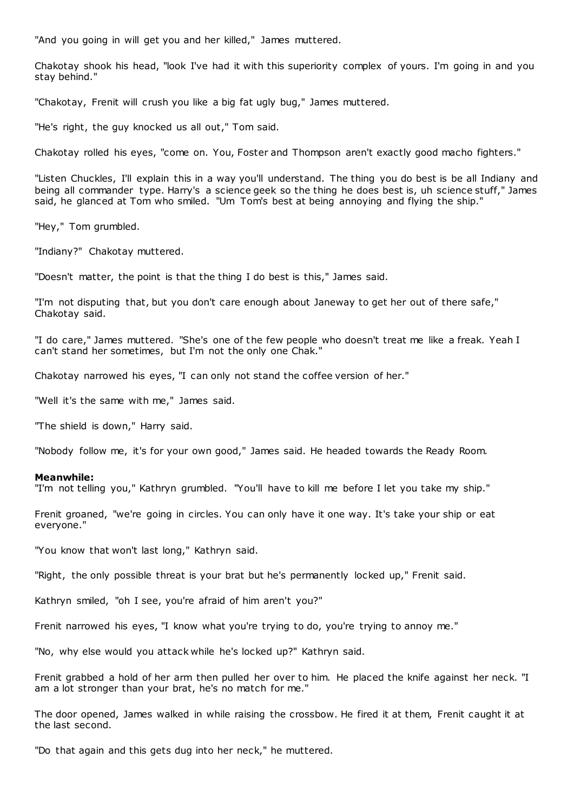"And you going in will get you and her killed," James muttered.

Chakotay shook his head, "look I've had it with this superiority complex of yours. I'm going in and you stay behind."

"Chakotay, Frenit will crush you like a big fat ugly bug," James muttered.

"He's right, the guy knocked us all out," Tom said.

Chakotay rolled his eyes, "come on. You, Foster and Thompson aren't exactly good macho fighters."

"Listen Chuckles, I'll explain this in a way you'll understand. The thing you do best is be all Indiany and being all commander type. Harry's a science geek so the thing he does best is, uh science stuff," James said, he glanced at Tom who smiled. "Um Tom's best at being annoying and flying the ship."

"Hey," Tom grumbled.

"Indiany?" Chakotay muttered.

"Doesn't matter, the point is that the thing I do best is this," James said.

"I'm not disputing that, but you don't care enough about Janeway to get her out of there safe," Chakotay said.

"I do care," James muttered. "She's one of the few people who doesn't treat me like a freak. Yeah I can't stand her sometimes, but I'm not the only one Chak."

Chakotay narrowed his eyes, "I can only not stand the coffee version of her."

"Well it's the same with me," James said.

"The shield is down," Harry said.

"Nobody follow me, it's for your own good," James said. He headed towards the Ready Room.

#### **Meanwhile:**

"I'm not telling you," Kathryn grumbled. "You'll have to kill me before I let you take my ship."

Frenit groaned, "we're going in circles. You can only have it one way. It's take your ship or eat everyone."

"You know that won't last long," Kathryn said.

"Right, the only possible threat is your brat but he's permanently locked up," Frenit said.

Kathryn smiled, "oh I see, you're afraid of him aren't you?"

Frenit narrowed his eyes, "I know what you're trying to do, you're trying to annoy me."

"No, why else would you attack while he's locked up?" Kathryn said.

Frenit grabbed a hold of her arm then pulled her over to him. He placed the knife against her neck. "I am a lot stronger than your brat, he's no match for me."

The door opened, James walked in while raising the crossbow. He fired it at them, Frenit caught it at the last second.

"Do that again and this gets dug into her neck," he muttered.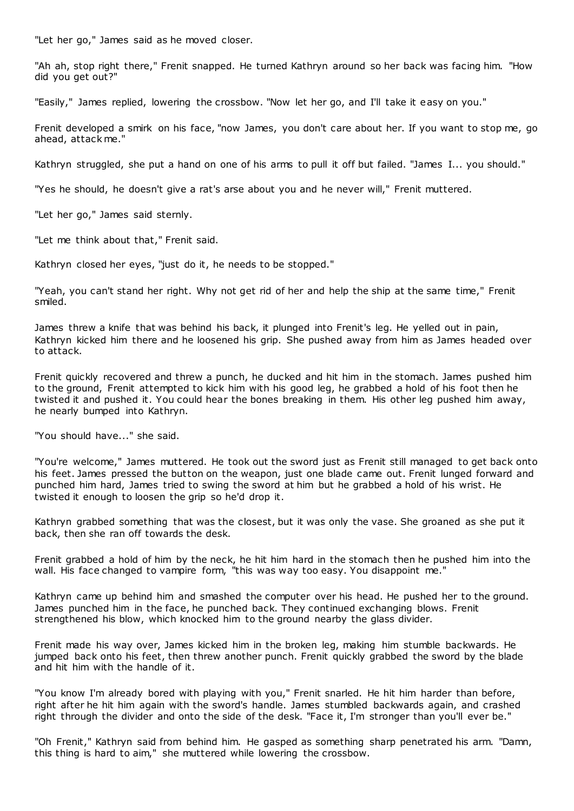"Let her go," James said as he moved closer.

"Ah ah, stop right there," Frenit snapped. He turned Kathryn around so her back was facing him. "How did you get out?"

"Easily," James replied, lowering the crossbow. "Now let her go, and I'll take it easy on you."

Frenit developed a smirk on his face, "now James, you don't care about her. If you want to stop me, go ahead, attack me."

Kathryn struggled, she put a hand on one of his arms to pull it off but failed. "James I... you should."

"Yes he should, he doesn't give a rat's arse about you and he never will," Frenit muttered.

"Let her go," James said sternly.

"Let me think about that," Frenit said.

Kathryn closed her eyes, "just do it, he needs to be stopped."

"Yeah, you can't stand her right. Why not get rid of her and help the ship at the same time," Frenit smiled.

James threw a knife that was behind his back, it plunged into Frenit's leg. He yelled out in pain, Kathryn kicked him there and he loosened his grip. She pushed away from him as James headed over to attack.

Frenit quickly recovered and threw a punch, he ducked and hit him in the stomach. James pushed him to the ground, Frenit attempted to kick him with his good leg, he grabbed a hold of his foot then he twisted it and pushed it. You could hear the bones breaking in them. His other leg pushed him away, he nearly bumped into Kathryn.

"You should have..." she said.

"You're welcome," James muttered. He took out the sword just as Frenit still managed to get back onto his feet. James pressed the button on the weapon, just one blade came out. Frenit lunged forward and punched him hard, James tried to swing the sword at him but he grabbed a hold of his wrist. He twisted it enough to loosen the grip so he'd drop it.

Kathryn grabbed something that was the closest, but it was only the vase. She groaned as she put it back, then she ran off towards the desk.

Frenit grabbed a hold of him by the neck, he hit him hard in the stomach then he pushed him into the wall. His face changed to vampire form, "this was way too easy. You disappoint me."

Kathryn came up behind him and smashed the computer over his head. He pushed her to the ground. James punched him in the face, he punched back. They continued exchanging blows. Frenit strengthened his blow, which knocked him to the ground nearby the glass divider.

Frenit made his way over, James kicked him in the broken leg, making him stumble backwards. He jumped back onto his feet, then threw another punch. Frenit quickly grabbed the sword by the blade and hit him with the handle of it.

"You know I'm already bored with playing with you," Frenit snarled. He hit him harder than before, right after he hit him again with the sword's handle. James stumbled backwards again, and crashed right through the divider and onto the side of the desk. "Face it, I'm stronger than you'll ever be."

"Oh Frenit," Kathryn said from behind him. He gasped as something sharp penetrated his arm. "Damn, this thing is hard to aim," she muttered while lowering the crossbow.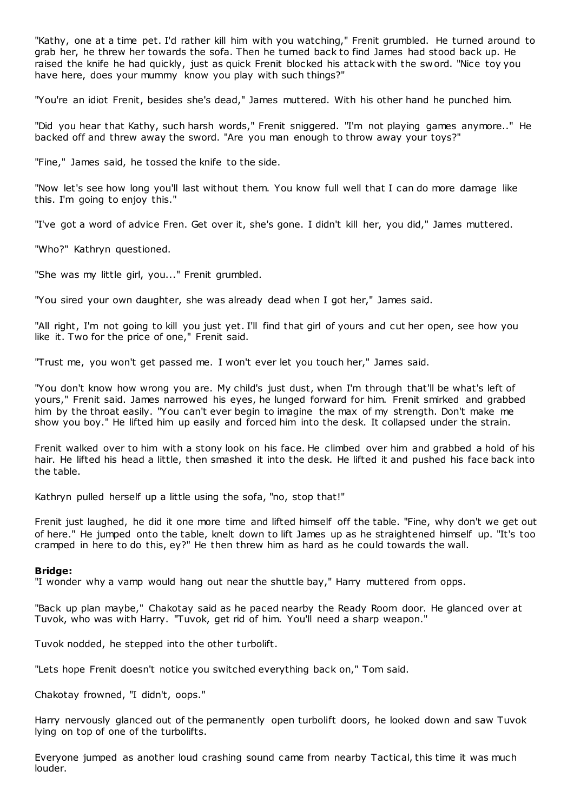"Kathy, one at a time pet. I'd rather kill him with you watching," Frenit grumbled. He turned around to grab her, he threw her towards the sofa. Then he turned back to find James had stood back up. He raised the knife he had quickly, just as quick Frenit blocked his attack with the sword. "Nice toy you have here, does your mummy know you play with such things?"

"You're an idiot Frenit, besides she's dead," James muttered. With his other hand he punched him.

"Did you hear that Kathy, such harsh words," Frenit sniggered. "I'm not playing games anymore.." He backed off and threw away the sword. "Are you man enough to throw away your toys?"

"Fine," James said, he tossed the knife to the side.

"Now let's see how long you'll last without them. You know full well that I can do more damage like this. I'm going to enjoy this."

"I've got a word of advice Fren. Get over it, she's gone. I didn't kill her, you did," James muttered.

"Who?" Kathryn questioned.

"She was my little girl, you..." Frenit grumbled.

"You sired your own daughter, she was already dead when I got her," James said.

"All right, I'm not going to kill you just yet. I'll find that girl of yours and cut her open, see how you like it. Two for the price of one," Frenit said.

"Trust me, you won't get passed me. I won't ever let you touch her," James said.

"You don't know how wrong you are. My child's just dust, when I'm through that'll be what's left of yours," Frenit said. James narrowed his eyes, he lunged forward for him. Frenit smirked and grabbed him by the throat easily. "You can't ever begin to imagine the max of my strength. Don't make me show you boy." He lifted him up easily and forced him into the desk. It collapsed under the strain.

Frenit walked over to him with a stony look on his face. He climbed over him and grabbed a hold of his hair. He lifted his head a little, then smashed it into the desk. He lifted it and pushed his face back into the table.

Kathryn pulled herself up a little using the sofa, "no, stop that!"

Frenit just laughed, he did it one more time and lifted himself off the table. "Fine, why don't we get out of here." He jumped onto the table, knelt down to lift James up as he straightened himself up. "It's too cramped in here to do this, ey?" He then threw him as hard as he could towards the wall.

## **Bridge:**

"I wonder why a vamp would hang out near the shuttle bay," Harry muttered from opps.

"Back up plan maybe," Chakotay said as he paced nearby the Ready Room door. He glanced over at Tuvok, who was with Harry. "Tuvok, get rid of him. You'll need a sharp weapon."

Tuvok nodded, he stepped into the other turbolift.

"Lets hope Frenit doesn't notice you switched everything back on," Tom said.

Chakotay frowned, "I didn't, oops."

Harry nervously glanced out of the permanently open turbolift doors, he looked down and saw Tuvok lying on top of one of the turbolifts.

Everyone jumped as another loud crashing sound came from nearby Tactical, this time it was much louder.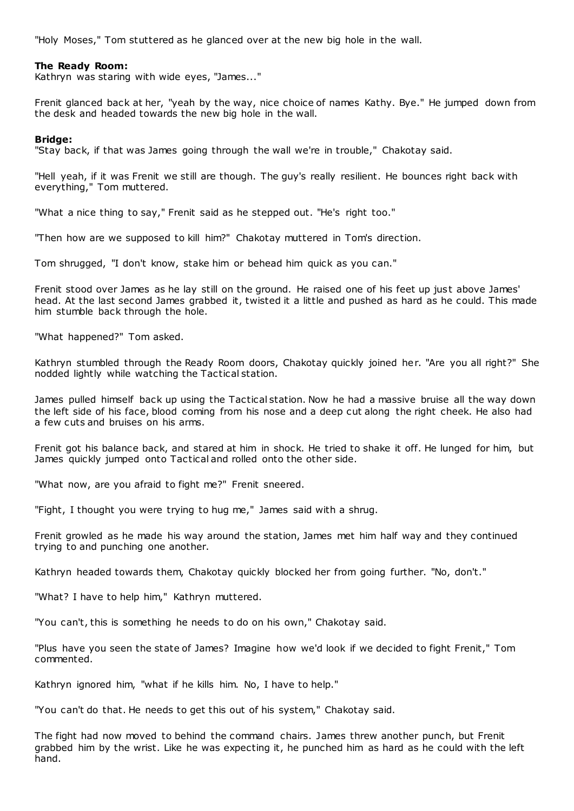"Holy Moses," Tom stuttered as he glanced over at the new big hole in the wall.

## **The Ready Room:**

Kathryn was staring with wide eyes, "James..."

Frenit glanced back at her, "yeah by the way, nice choice of names Kathy. Bye." He jumped down from the desk and headed towards the new big hole in the wall.

## **Bridge:**

"Stay back, if that was James going through the wall we're in trouble," Chakotay said.

"Hell yeah, if it was Frenit we still are though. The guy's really resilient. He bounces right back with everything," Tom muttered.

"What a nice thing to say," Frenit said as he stepped out. "He's right too."

"Then how are we supposed to kill him?" Chakotay muttered in Tom's direction.

Tom shrugged, "I don't know, stake him or behead him quick as you can."

Frenit stood over James as he lay still on the ground. He raised one of his feet up just above James' head. At the last second James grabbed it, twisted it a little and pushed as hard as he could. This made him stumble back through the hole.

"What happened?" Tom asked.

Kathryn stumbled through the Ready Room doors, Chakotay quickly joined her. "Are you all right?" She nodded lightly while watching the Tactical station.

James pulled himself back up using the Tactical station. Now he had a massive bruise all the way down the left side of his face, blood coming from his nose and a deep cut along the right cheek. He also had a few cuts and bruises on his arms.

Frenit got his balance back, and stared at him in shock. He tried to shake it off. He lunged for him, but James quickly jumped onto Tactical and rolled onto the other side.

"What now, are you afraid to fight me?" Frenit sneered.

"Fight, I thought you were trying to hug me," James said with a shrug.

Frenit growled as he made his way around the station, James met him half way and they continued trying to and punching one another.

Kathryn headed towards them, Chakotay quickly blocked her from going further. "No, don't."

"What? I have to help him," Kathryn muttered.

"You can't, this is something he needs to do on his own," Chakotay said.

"Plus have you seen the state of James? Imagine how we'd look if we decided to fight Frenit," Tom commented.

Kathryn ignored him, "what if he kills him. No, I have to help."

"You can't do that. He needs to get this out of his system," Chakotay said.

The fight had now moved to behind the command chairs. James threw another punch, but Frenit grabbed him by the wrist. Like he was expecting it, he punched him as hard as he could with the left hand.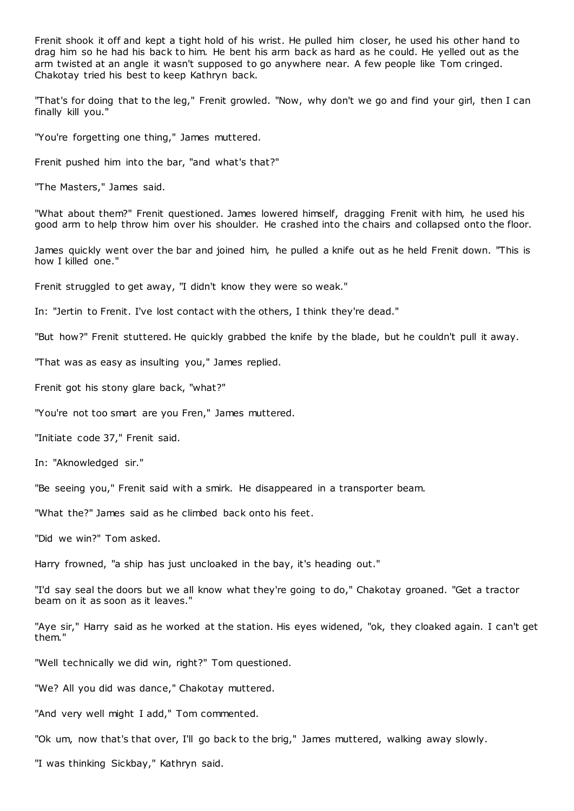Frenit shook it off and kept a tight hold of his wrist. He pulled him closer, he used his other hand to drag him so he had his back to him. He bent his arm back as hard as he could. He yelled out as the arm twisted at an angle it wasn't supposed to go anywhere near. A few people like Tom cringed. Chakotay tried his best to keep Kathryn back.

"That's for doing that to the leg," Frenit growled. "Now, why don't we go and find your girl, then I can finally kill you."

"You're forgetting one thing," James muttered.

Frenit pushed him into the bar, "and what's that?"

"The Masters," James said.

"What about them?" Frenit questioned. James lowered himself, dragging Frenit with him, he used his good arm to help throw him over his shoulder. He crashed into the chairs and collapsed onto the floor.

James quickly went over the bar and joined him, he pulled a knife out as he held Frenit down. "This is how I killed one."

Frenit struggled to get away, "I didn't know they were so weak."

In: "Jertin to Frenit. I've lost contact with the others, I think they're dead."

"But how?" Frenit stuttered. He quickly grabbed the knife by the blade, but he couldn't pull it away.

"That was as easy as insulting you," James replied.

Frenit got his stony glare back, "what?"

"You're not too smart are you Fren," James muttered.

"Initiate code 37," Frenit said.

In: "Aknowledged sir."

"Be seeing you," Frenit said with a smirk. He disappeared in a transporter beam.

"What the?" James said as he climbed back onto his feet.

"Did we win?" Tom asked.

Harry frowned, "a ship has just uncloaked in the bay, it's heading out."

"I'd say seal the doors but we all know what they're going to do," Chakotay groaned. "Get a tractor beam on it as soon as it leaves."

"Aye sir," Harry said as he worked at the station. His eyes widened, "ok, they cloaked again. I can't get them."

"Well technically we did win, right?" Tom questioned.

"We? All you did was dance," Chakotay muttered.

"And very well might I add," Tom commented.

"Ok um, now that's that over, I'll go back to the brig," James muttered, walking away slowly.

"I was thinking Sickbay," Kathryn said.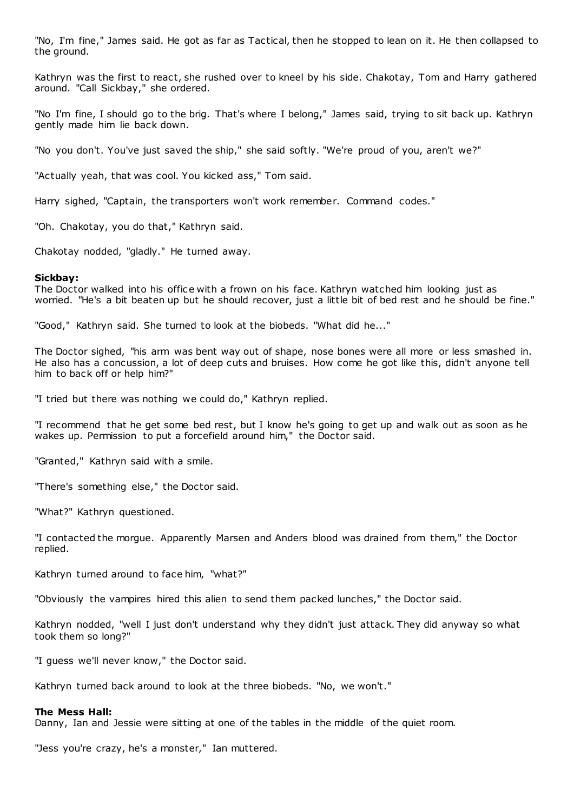"No, I'm fine," James said. He got as far as Tactical, then he stopped to lean on it. He then collapsed to the ground.

Kathryn was the first to react, she rushed over to kneel by his side. Chakotay, Tom and Harry gathered around. "Call Sickbay," she ordered.

"No I'm fine, I should go to the brig. That's where I belong," James said, trying to sit back up. Kathryn gently made him lie back down.

"No you don't. You've just saved the ship," she said softly. "We're proud of you, aren't we?"

"Actually yeah, that was cool. You kicked ass," Tom said.

Harry sighed, "Captain, the transporters won't work remember. Command codes."

"Oh. Chakotay, you do that," Kathryn said.

Chakotay nodded, "gladly." He turned away.

#### **Sickbay:**

The Doctor walked into his office with a frown on his face. Kathryn watched him looking just as worried. "He's a bit beaten up but he should recover, just a little bit of bed rest and he should be fine."

"Good," Kathryn said. She turned to look at the biobeds. "What did he..."

The Doctor sighed, "his arm was bent way out of shape, nose bones were all more or less smashed in. He also has a concussion, a lot of deep cuts and bruises. How come he got like this, didn't anyone tell him to back off or help him?"

"I tried but there was nothing we could do," Kathryn replied.

"I recommend that he get some bed rest, but I know he's going to get up and walk out as soon as he wakes up. Permission to put a forcefield around him," the Doctor said.

"Granted," Kathryn said with a smile.

"There's something else," the Doctor said.

"What?" Kathryn questioned.

"I contacted the morgue. Apparently Marsen and Anders blood was drained from them," the Doctor replied.

Kathryn turned around to face him, "what?"

"Obviously the vampires hired this alien to send them packed lunches," the Doctor said.

Kathryn nodded, "well I just don't understand why they didn't just attack. They did anyway so what took them so long?"

"I guess we'll never know," the Doctor said.

Kathryn turned back around to look at the three biobeds. "No, we won't."

#### **The Mess Hall:**

Danny, Ian and Jessie were sitting at one of the tables in the middle of the quiet room.

"Jess you're crazy, he's a monster," Ian muttered.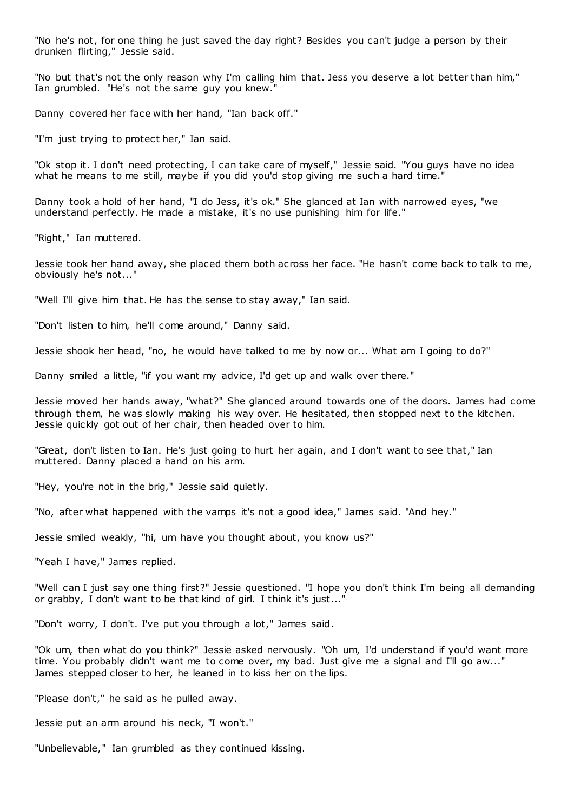"No he's not, for one thing he just saved the day right? Besides you can't judge a person by their drunken flirting," Jessie said.

"No but that's not the only reason why I'm calling him that. Jess you deserve a lot better than him," Ian grumbled. "He's not the same guy you knew."

Danny covered her face with her hand, "Ian back off."

"I'm just trying to protect her," Ian said.

"Ok stop it. I don't need protecting, I can take care of myself," Jessie said. "You guys have no idea what he means to me still, maybe if you did you'd stop giving me such a hard time."

Danny took a hold of her hand, "I do Jess, it's ok." She glanced at Ian with narrowed eyes, "we understand perfectly. He made a mistake, it's no use punishing him for life."

"Right," Ian muttered.

Jessie took her hand away, she placed them both across her face. "He hasn't come back to talk to me, obviously he's not..."

"Well I'll give him that. He has the sense to stay away," Ian said.

"Don't listen to him, he'll come around," Danny said.

Jessie shook her head, "no, he would have talked to me by now or... What am I going to do?"

Danny smiled a little, "if you want my advice, I'd get up and walk over there."

Jessie moved her hands away, "what?" She glanced around towards one of the doors. James had come through them, he was slowly making his way over. He hesitated, then stopped next to the kitchen. Jessie quickly got out of her chair, then headed over to him.

"Great, don't listen to Ian. He's just going to hurt her again, and I don't want to see that," Ian muttered. Danny placed a hand on his arm.

"Hey, you're not in the brig," Jessie said quietly.

"No, after what happened with the vamps it's not a good idea," James said. "And hey."

Jessie smiled weakly, "hi, um have you thought about, you know us?"

"Yeah I have," James replied.

"Well can I just say one thing first?" Jessie questioned. "I hope you don't think I'm being all demanding or grabby, I don't want to be that kind of girl. I think it's just..."

"Don't worry, I don't. I've put you through a lot," James said.

"Ok um, then what do you think?" Jessie asked nervously. "Oh um, I'd understand if you'd want more time. You probably didn't want me to come over, my bad. Just give me a signal and I'll go aw..." James stepped closer to her, he leaned in to kiss her on the lips.

"Please don't," he said as he pulled away.

Jessie put an arm around his neck, "I won't."

"Unbelievable," Ian grumbled as they continued kissing.